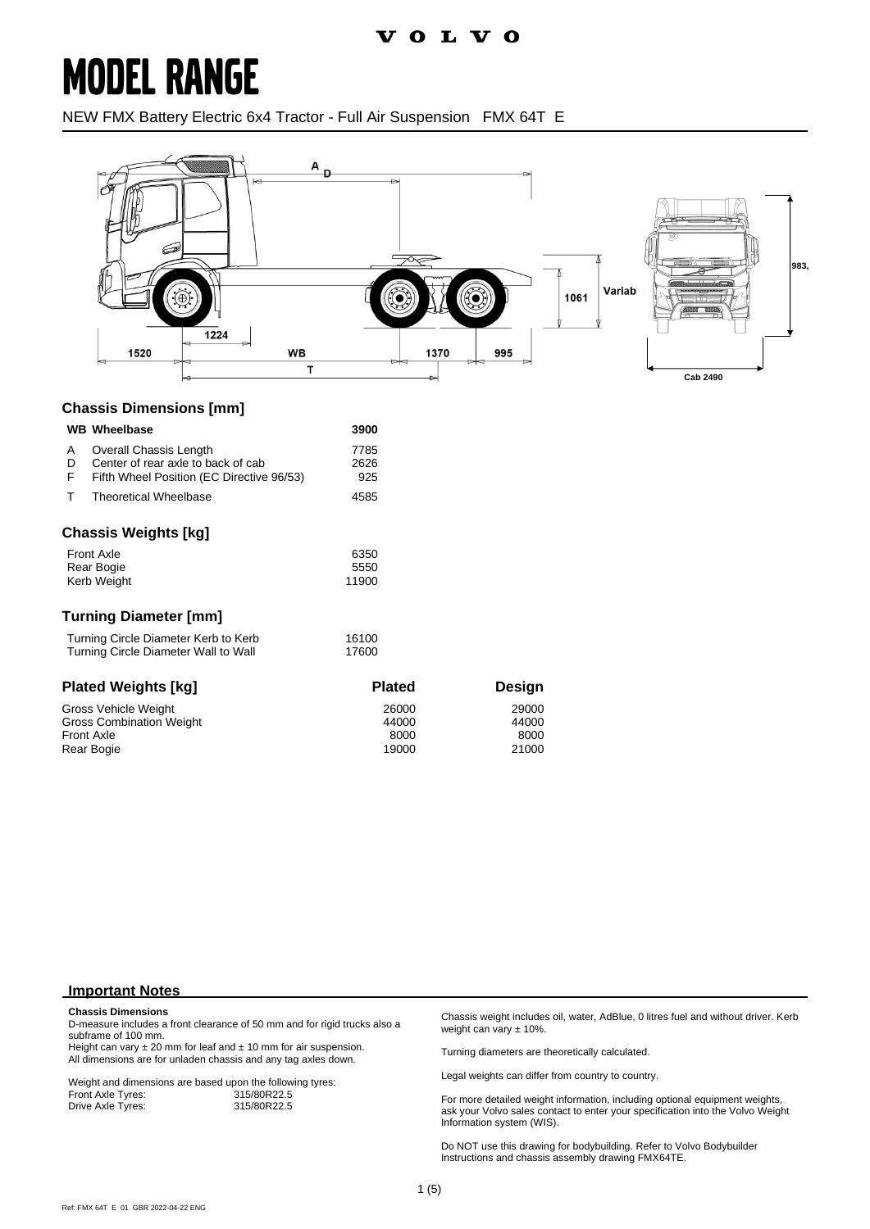### **MODEL RANGE**

NEW FMX Battery Electric 6x4 Tractor - Full Air Suspension FMX 64T E



#### **Chassis Dimensions [mm]**

|                                                                              | <b>WB</b> Wheelbase                                                                                       | 3900                            |                                 |
|------------------------------------------------------------------------------|-----------------------------------------------------------------------------------------------------------|---------------------------------|---------------------------------|
| A<br>D<br>F                                                                  | Overall Chassis Length<br>Center of rear axle to back of cab<br>Fifth Wheel Position (EC Directive 96/53) | 7785<br>2626<br>925             |                                 |
| т                                                                            | <b>Theoretical Wheelbase</b>                                                                              | 4585                            |                                 |
|                                                                              | <b>Chassis Weights [kg]</b>                                                                               |                                 |                                 |
| <b>Front Axle</b><br>Rear Bogie<br>Kerb Weight                               |                                                                                                           | 6350<br>5550<br>11900           |                                 |
|                                                                              | <b>Turning Diameter [mm]</b>                                                                              |                                 |                                 |
| Turning Circle Diameter Kerb to Kerb<br>Turning Circle Diameter Wall to Wall |                                                                                                           | 16100<br>17600                  |                                 |
|                                                                              | <b>Plated Weights [kg]</b>                                                                                | <b>Plated</b>                   | <b>Design</b>                   |
| <b>Front Axle</b><br>Rear Bogie                                              | Gross Vehicle Weight<br>Gross Combination Weight                                                          | 26000<br>44000<br>8000<br>19000 | 29000<br>44000<br>8000<br>21000 |

#### **Important Notes**

#### **Chassis Dimensions**

D-measure includes a front clearance of 50 mm and for rigid trucks also a subframe of 100 mm.

Height can vary  $\pm 20$  mm for leaf and  $\pm 10$  mm for air suspension. All dimensions are for unladen chassis and any tag axles down.

Weight and dimensions are based upon the following tyres:<br>Front Axle Tyres: 315/80R22.5 Front Axle Tyres: 315/80R22.5<br>Drive Axle Tyres: 315/80R22.5 Drive Axle Tyres:

Chassis weight includes oil, water, AdBlue, 0 litres fuel and without driver. Kerb weight can vary ± 10%.

Turning diameters are theoretically calculated.

Legal weights can differ from country to country.

For more detailed weight information, including optional equipment weights, ask your Volvo sales contact to enter your specification into the Volvo Weight Information system (WIS).

Do NOT use this drawing for bodybuilding. Refer to Volvo Bodybuilder Instructions and chassis assembly drawing FMX64TE.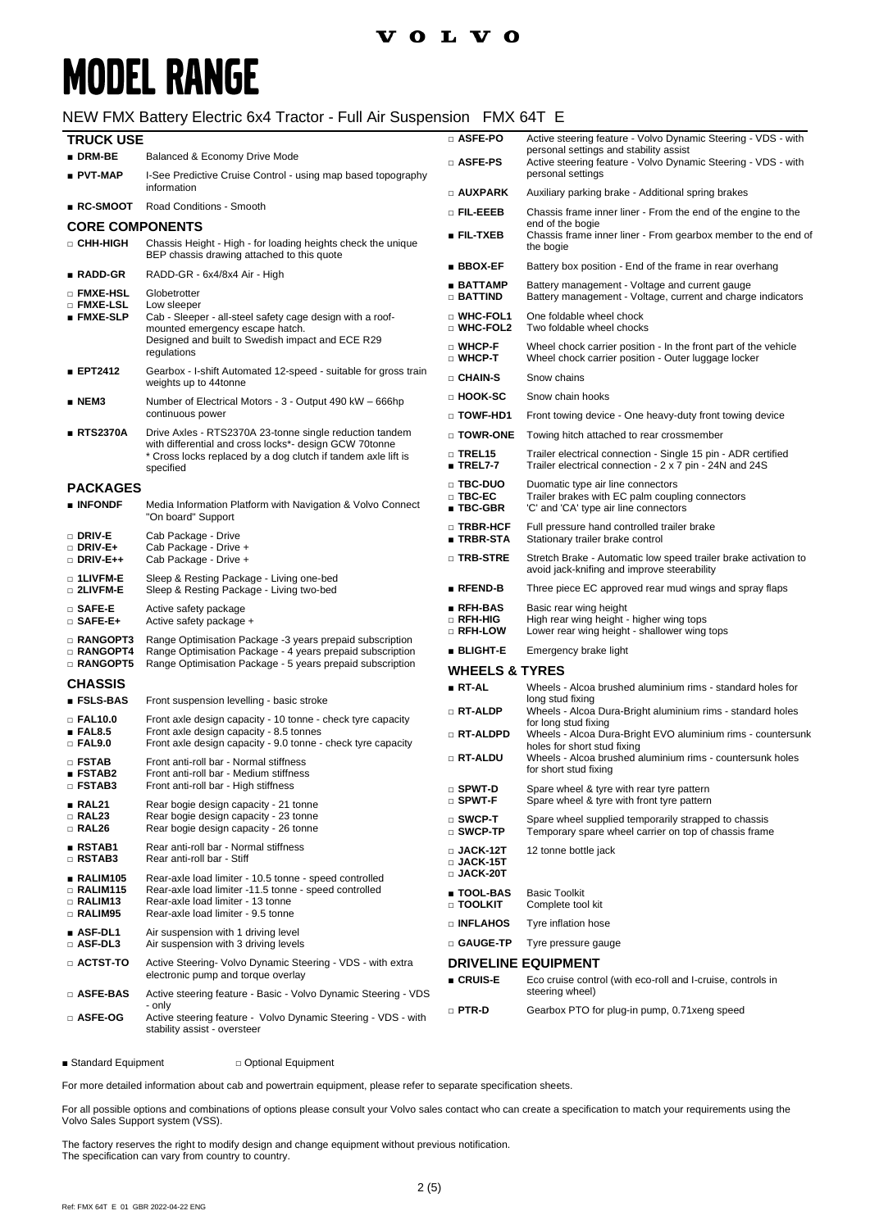### **VOLVO**

## **MODEL RANGE**

### NEW FMX Battery Electric 6x4 Tractor - Full Air Suspension FMX 64T E

| <b>TRUCK USE</b><br>$\blacksquare$ DRM-BE                                    | Balanced & Economy Drive Mode                                                                                                    | □ ASFE-PO                                                | Active steering feature - Volvo Dynamic Steering - VDS - with<br>personal settings and stability assist                       |  |
|------------------------------------------------------------------------------|----------------------------------------------------------------------------------------------------------------------------------|----------------------------------------------------------|-------------------------------------------------------------------------------------------------------------------------------|--|
| <b>PVT-MAP</b>                                                               | I-See Predictive Cruise Control - using map based topography                                                                     | $\square$ Asfe-PS                                        | Active steering feature - Volvo Dynamic Steering - VDS - with<br>personal settings                                            |  |
|                                                                              | information                                                                                                                      | $\square$ auxpark                                        | Auxiliary parking brake - Additional spring brakes                                                                            |  |
| $R$ C-SMOOT                                                                  | Road Conditions - Smooth                                                                                                         | o fil-eeeb                                               | Chassis frame inner liner - From the end of the engine to the                                                                 |  |
| <b>CORE COMPONENTS</b>                                                       |                                                                                                                                  | ∎ FIL-TXEB                                               | end of the bogie<br>Chassis frame inner liner - From gearbox member to the end of                                             |  |
| □ CHH-HIGH                                                                   | Chassis Height - High - for loading heights check the unique<br>BEP chassis drawing attached to this quote                       |                                                          | the bogie                                                                                                                     |  |
| ∎ RADD-GR                                                                    | RADD-GR - 6x4/8x4 Air - High                                                                                                     | $\blacksquare$ BBOX-EF                                   | Battery box position - End of the frame in rear overhang                                                                      |  |
| □ FMXE-HSL                                                                   | Globetrotter                                                                                                                     | ■ BATTAMP<br>$\Box$ Battind                              | Battery management - Voltage and current gauge<br>Battery management - Voltage, current and charge indicators                 |  |
| □ FMXE-LSL<br>■ FMXE-SLP                                                     | Low sleeper<br>Cab - Sleeper - all-steel safety cage design with a roof-<br>mounted emergency escape hatch.                      | <b>D</b> WHC-FOL1<br>$\square$ WHC-FOL2                  | One foldable wheel chock<br>Two foldable wheel chocks                                                                         |  |
|                                                                              | Designed and built to Swedish impact and ECE R29<br>regulations                                                                  | □ WHCP-F<br>$\square$ WHCP-T                             | Wheel chock carrier position - In the front part of the vehicle<br>Wheel chock carrier position - Outer luggage locker        |  |
| <b>EPT2412</b>                                                               | Gearbox - I-shift Automated 12-speed - suitable for gross train<br>weights up to 44tonne                                         | <b>D</b> CHAIN-S                                         | Snow chains                                                                                                                   |  |
| $\blacksquare$ NEM3                                                          | Number of Electrical Motors - 3 - Output 490 kW - 666hp                                                                          | □ HOOK-SC                                                | Snow chain hooks                                                                                                              |  |
|                                                                              | continuous power                                                                                                                 | $\Box$ TOWF-HD1                                          | Front towing device - One heavy-duty front towing device                                                                      |  |
| RTS2370A                                                                     | Drive Axles - RTS2370A 23-tonne single reduction tandem<br>with differential and cross locks*- design GCW 70tonne                | $\square$ Towr-one                                       | Towing hitch attached to rear crossmember                                                                                     |  |
|                                                                              | * Cross locks replaced by a dog clutch if tandem axle lift is<br>specified                                                       | $\square$ TREL15<br>$\blacksquare$ TREL7-7               | Trailer electrical connection - Single 15 pin - ADR certified<br>Trailer electrical connection - 2 x 7 pin - 24N and 24S      |  |
| <b>PACKAGES</b><br>■ INFONDF                                                 | Media Information Platform with Navigation & Volvo Connect                                                                       | □ TBC-DUO<br>$\square$ TBC-EC.<br>$\blacksquare$ TBC-GBR | Duomatic type air line connectors<br>Trailer brakes with EC palm coupling connectors<br>'C' and 'CA' type air line connectors |  |
| $\square$ Driv-E                                                             | "On board" Support<br>Cab Package - Drive                                                                                        | □ TRBR-HCF<br>∎ TRBR-STA                                 | Full pressure hand controlled trailer brake<br>Stationary trailer brake control                                               |  |
| $\square$ Driv-E+<br>□ DRIV-E++                                              | Cab Package - Drive +<br>Cab Package - Drive +                                                                                   | $\square$ TRB-STRE                                       | Stretch Brake - Automatic low speed trailer brake activation to<br>avoid jack-knifing and improve steerability                |  |
| $\square$ 1LIVFM-E<br>□ 2LIVFM-E                                             | Sleep & Resting Package - Living one-bed<br>Sleep & Resting Package - Living two-bed                                             | $\blacksquare$ RFEND-B                                   | Three piece EC approved rear mud wings and spray flaps                                                                        |  |
| □ SAFE-E<br>$\square$ SAFE-E+                                                | Active safety package<br>Active safety package +                                                                                 | $\blacksquare$ RFH-BAS<br>□ RFH-HIG                      | Basic rear wing height<br>High rear wing height - higher wing tops                                                            |  |
| $\square$ RANGOPT3<br>□ RANGOPT4                                             | Range Optimisation Package -3 years prepaid subscription<br>Range Optimisation Package - 4 years prepaid subscription            | $\square$ RFH-LOW<br>$\blacksquare$ BLIGHT-E             | Lower rear wing height - shallower wing tops<br>Emergency brake light                                                         |  |
| Range Optimisation Package - 5 years prepaid subscription<br>$\Box$ RANGOPT5 |                                                                                                                                  | <b>WHEELS &amp; TYRES</b>                                |                                                                                                                               |  |
| <b>CHASSIS</b>                                                               |                                                                                                                                  | ∎ RT-AL                                                  | Wheels - Alcoa brushed aluminium rims - standard holes for                                                                    |  |
| ∎ FSLS-BAS<br>$\square$ FAL10.0                                              | Front suspension levelling - basic stroke<br>Front axle design capacity - 10 tonne - check tyre capacity                         | □ RT-ALDP                                                | long stud fixing<br>Wheels - Alcoa Dura-Bright aluminium rims - standard holes                                                |  |
| EAL8.5<br>$\Box$ FAL9.0                                                      | Front axle design capacity - 8.5 tonnes<br>Front axle design capacity - 9.0 tonne - check tyre capacity                          | □ RT-ALDPD                                               | for long stud fixing<br>Wheels - Alcoa Dura-Bright EVO aluminium rims - countersunk<br>holes for short stud fixing            |  |
| $\Box$ FSTAB<br><b>ESTAB2</b>                                                | Front anti-roll bar - Normal stiffness<br>Front anti-roll bar - Medium stiffness                                                 | $\Box$ RT-ALDU                                           | Wheels - Alcoa brushed aluminium rims - countersunk holes<br>for short stud fixing                                            |  |
| □ FSTAB3<br>RAL21                                                            | Front anti-roll bar - High stiffness<br>Rear bogie design capacity - 21 tonne                                                    | $\square$ Spwt-D<br>$\square$ SPWT-F                     | Spare wheel & tyre with rear tyre pattern<br>Spare wheel & tyre with front tyre pattern                                       |  |
| □ RAL23<br>$\Box$ RAL26                                                      | Rear bogie design capacity - 23 tonne<br>Rear bogie design capacity - 26 tonne                                                   | $\square$ SWCP-T<br>□ SWCP-TP                            | Spare wheel supplied temporarily strapped to chassis<br>Temporary spare wheel carrier on top of chassis frame                 |  |
| ∎ RSTAB1<br>$\square$ RSTAB3                                                 | Rear anti-roll bar - Normal stiffness<br>Rear anti-roll bar - Stiff                                                              | $\Box$ JACK-12T<br>$\scriptstyle\Box$ JACK-15T           | 12 tonne bottle jack                                                                                                          |  |
| RALIM105                                                                     | Rear-axle load limiter - 10.5 tonne - speed controlled                                                                           | $\Box$ JACK-20T                                          |                                                                                                                               |  |
| □ RALIM115<br>□ RALIM13<br><b>RALIM95</b>                                    | Rear-axle load limiter -11.5 tonne - speed controlled<br>Rear-axle load limiter - 13 tonne<br>Rear-axle load limiter - 9.5 tonne | <b>TOOL-BAS</b><br>$\Box$ TOOLKIT                        | <b>Basic Toolkit</b><br>Complete tool kit                                                                                     |  |
| ASF-DL1                                                                      | Air suspension with 1 driving level                                                                                              | $\square$ INFLAHOS                                       | Tyre inflation hose                                                                                                           |  |
| $\square$ ASF-DL3                                                            | Air suspension with 3 driving levels                                                                                             | □ GAUGE-TP                                               | Tyre pressure gauge                                                                                                           |  |
| $\scriptstyle\Box$ actst-to                                                  | Active Steering- Volvo Dynamic Steering - VDS - with extra<br>electronic pump and torque overlay                                 | ∎ CRUIS-E                                                | <b>DRIVELINE EQUIPMENT</b><br>Eco cruise control (with eco-roll and I-cruise, controls in                                     |  |
| □ ASFE-BAS                                                                   | Active steering feature - Basic - Volvo Dynamic Steering - VDS                                                                   |                                                          | steering wheel)                                                                                                               |  |
| □ ASFE-OG                                                                    | - only<br>Active steering feature - Volvo Dynamic Steering - VDS - with<br>stability assist - oversteer                          | $\square$ PTR-D                                          | Gearbox PTO for plug-in pump, 0.71 xeng speed                                                                                 |  |

■ Standard Equipment □ Optional Equipment

For more detailed information about cab and powertrain equipment, please refer to separate specification sheets.

For all possible options and combinations of options please consult your Volvo sales contact who can create a specification to match your requirements using the Volvo Sales Support system (VSS).

The factory reserves the right to modify design and change equipment without previous notification. The specification can vary from country to country.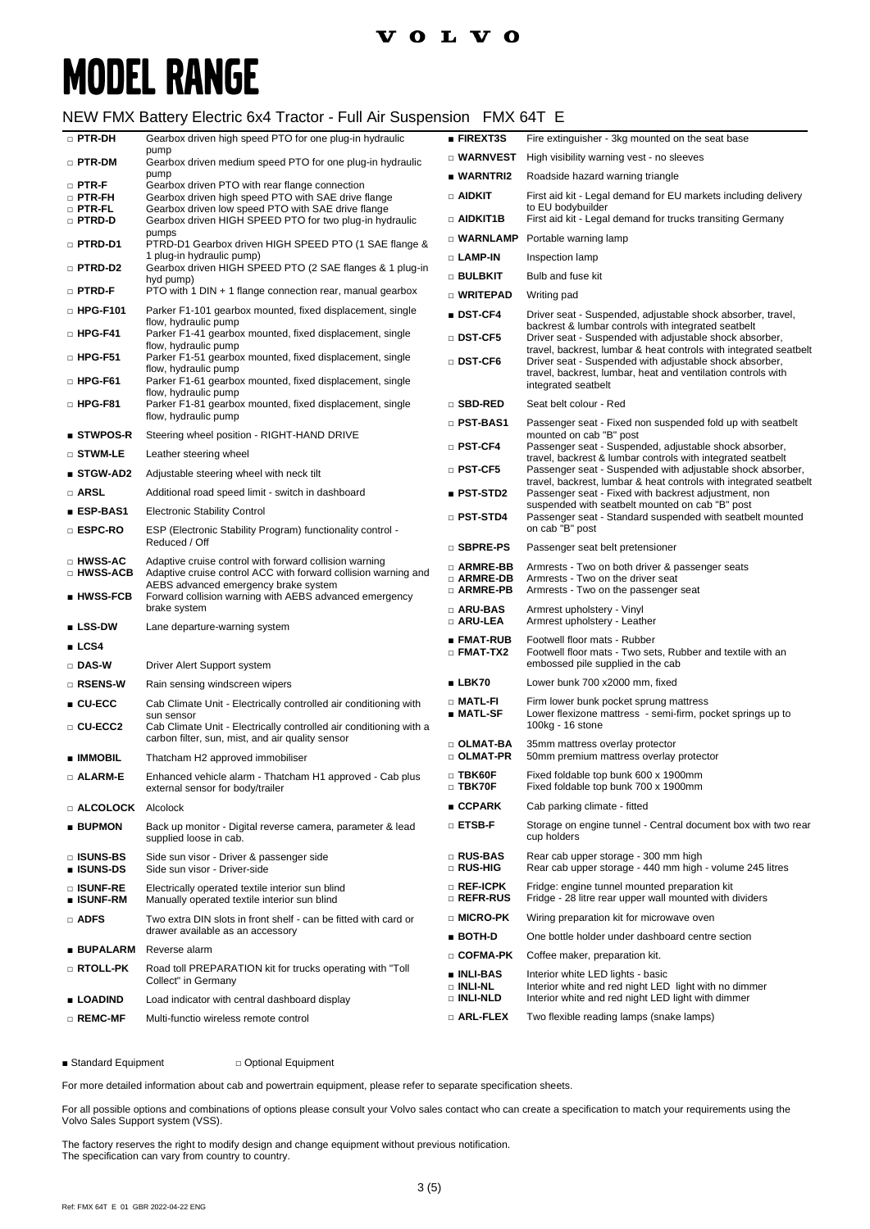# **MODEL RANGE**

### NEW FMX Battery Electric 6x4 Tractor - Full Air Suspension FMX 64T E

| $\square$ PTR-DH                      | Gearbox driven high speed PTO for one plug-in hydraulic                                                                                                          | <b>FIREXT3S</b>                           | Fire extinguisher - 3kg mounted on the seat base                                                                             |
|---------------------------------------|------------------------------------------------------------------------------------------------------------------------------------------------------------------|-------------------------------------------|------------------------------------------------------------------------------------------------------------------------------|
| □ PTR-DM                              | pump<br>Gearbox driven medium speed PTO for one plug-in hydraulic                                                                                                | $\square$ WARNVEST                        | High visibility warning vest - no sleeves                                                                                    |
| $\Box$ PTR-F                          | pump<br>Gearbox driven PTO with rear flange connection                                                                                                           | ■ WARNTRI2                                | Roadside hazard warning triangle                                                                                             |
| $\square$ PTR-FH                      | Gearbox driven high speed PTO with SAE drive flange                                                                                                              | $\Box$ aidkit                             | First aid kit - Legal demand for EU markets including delivery                                                               |
| $\square$ PTR-FL<br>□ PTRD-D          | Gearbox driven low speed PTO with SAE drive flange<br>Gearbox driven HIGH SPEED PTO for two plug-in hydraulic                                                    | □ AIDKIT1B                                | to EU bodybuilder<br>First aid kit - Legal demand for trucks transiting Germany                                              |
|                                       | pumps                                                                                                                                                            | $\square$ WARNLAMP                        | Portable warning lamp                                                                                                        |
| $\Box$ PTRD-D1                        | PTRD-D1 Gearbox driven HIGH SPEED PTO (1 SAE flange &<br>1 plug-in hydraulic pump)                                                                               | □ LAMP-IN                                 | Inspection lamp                                                                                                              |
| □ PTRD-D2                             | Gearbox driven HIGH SPEED PTO (2 SAE flanges & 1 plug-in<br>hyd pump)                                                                                            | $\square$ bulbkit                         | Bulb and fuse kit                                                                                                            |
| □ PTRD-F                              | PTO with 1 DIN + 1 flange connection rear, manual gearbox                                                                                                        | □ WRITEPAD                                | Writing pad                                                                                                                  |
| $\Box$ HPG-F101                       | Parker F1-101 gearbox mounted, fixed displacement, single                                                                                                        | ■ DST-CF4                                 | Driver seat - Suspended, adjustable shock absorber, travel,                                                                  |
| $\square$ HPG-F41                     | flow, hydraulic pump<br>Parker F1-41 gearbox mounted, fixed displacement, single<br>flow, hydraulic pump                                                         | □ DST-CF5                                 | backrest & lumbar controls with integrated seatbelt<br>Driver seat - Suspended with adjustable shock absorber,               |
| $\Box$ HPG-F51                        | Parker F1-51 gearbox mounted, fixed displacement, single                                                                                                         | $\square$ DST-CF6                         | travel, backrest, lumbar & heat controls with integrated seatbelt<br>Driver seat - Suspended with adjustable shock absorber, |
| $\Box$ HPG-F61                        | flow, hydraulic pump<br>Parker F1-61 gearbox mounted, fixed displacement, single<br>flow, hydraulic pump                                                         |                                           | travel, backrest, lumbar, heat and ventilation controls with<br>integrated seatbelt                                          |
| $\square$ HPG-F81                     | Parker F1-81 gearbox mounted, fixed displacement, single                                                                                                         | $\square$ SBD-RED                         | Seat belt colour - Red                                                                                                       |
|                                       | flow, hydraulic pump                                                                                                                                             | □ PST-BAS1                                | Passenger seat - Fixed non suspended fold up with seatbelt                                                                   |
| ■ STWPOS-R                            | Steering wheel position - RIGHT-HAND DRIVE                                                                                                                       | $\square$ PST-CF4                         | mounted on cab "B" post<br>Passenger seat - Suspended, adjustable shock absorber,                                            |
| $\square$ stwm-le                     | Leather steering wheel                                                                                                                                           | $\square$ PST-CF5                         | travel, backrest & lumbar controls with integrated seatbelt<br>Passenger seat - Suspended with adjustable shock absorber,    |
| ■ STGW-AD2<br>□ ARSL                  | Adjustable steering wheel with neck tilt                                                                                                                         |                                           | travel, backrest, lumbar & heat controls with integrated seatbelt                                                            |
|                                       | Additional road speed limit - switch in dashboard                                                                                                                | <b>PST-STD2</b>                           | Passenger seat - Fixed with backrest adjustment, non<br>suspended with seatbelt mounted on cab "B" post                      |
| ∎ ESP-BAS1                            | <b>Electronic Stability Control</b>                                                                                                                              | <b>DIPST-STD4</b>                         | Passenger seat - Standard suspended with seatbelt mounted<br>on cab "B" post                                                 |
| □ ESPC-RO                             | ESP (Electronic Stability Program) functionality control -<br>Reduced / Off                                                                                      | □ SBPRE-PS                                | Passenger seat belt pretensioner                                                                                             |
| □ HWSS-AC                             | Adaptive cruise control with forward collision warning                                                                                                           | □ ARMRE-BB                                | Armrests - Two on both driver & passenger seats                                                                              |
| □ HWSS-ACB<br>$\blacksquare$ HWSS-FCB | Adaptive cruise control ACC with forward collision warning and<br>AEBS advanced emergency brake system<br>Forward collision warning with AEBS advanced emergency | □ ARMRE-DB<br>□ ARMRE-PB                  | Armrests - Two on the driver seat<br>Armrests - Two on the passenger seat                                                    |
|                                       | brake system                                                                                                                                                     | □ ARU-BAS                                 | Armrest upholstery - Vinyl                                                                                                   |
| $\blacksquare$ LSS-DW                 | Lane departure-warning system                                                                                                                                    | □ ARU-LEA                                 | Armrest upholstery - Leather                                                                                                 |
| LCS4                                  |                                                                                                                                                                  | ■ FMAT-RUB<br>$\square$ FMAT-TX2          | Footwell floor mats - Rubber<br>Footwell floor mats - Two sets, Rubber and textile with an                                   |
| $\Box$ DAS-W                          | Driver Alert Support system                                                                                                                                      |                                           | embossed pile supplied in the cab                                                                                            |
| □ RSENS-W                             | Rain sensing windscreen wipers                                                                                                                                   | LBK70                                     | Lower bunk 700 x2000 mm, fixed                                                                                               |
| $CU-ECC$                              | Cab Climate Unit - Electrically controlled air conditioning with<br>sun sensor                                                                                   | □ MATL-FI<br>■ MATL-SF                    | Firm lower bunk pocket sprung mattress<br>Lower flexizone mattress - semi-firm, pocket springs up to                         |
| □ CU-ECC2                             | Cab Climate Unit - Electrically controlled air conditioning with a<br>carbon filter, sun, mist, and air quality sensor                                           |                                           | 100kg - 16 stone                                                                                                             |
| ∎ IMMOBIL                             | Thatcham H2 approved immobiliser                                                                                                                                 | □ OLMAT-BA<br>$\square$ OLMAT-PR          | 35mm mattress overlay protector<br>50mm premium mattress overlay protector                                                   |
| □ ALARM-E                             | Enhanced vehicle alarm - Thatcham H1 approved - Cab plus<br>external sensor for body/trailer                                                                     | $\square$ TBK60F<br>$\square$ TBK70F      | Fixed foldable top bunk 600 x 1900mm<br>Fixed foldable top bunk 700 x 1900mm                                                 |
| <b>E ALCOLOCK</b> Alcolock            |                                                                                                                                                                  | ■ CCPARK                                  | Cab parking climate - fitted                                                                                                 |
| <b>BUPMON</b>                         | Back up monitor - Digital reverse camera, parameter & lead<br>supplied loose in cab.                                                                             | $\square$ ETSB-F                          | Storage on engine tunnel - Central document box with two rear<br>cup holders                                                 |
| <b>DISUNS-BS</b><br><b>u</b> ISUNS-DS | Side sun visor - Driver & passenger side<br>Side sun visor - Driver-side                                                                                         | $\square$ RUS-BAS<br>□ RUS-HIG            | Rear cab upper storage - 300 mm high<br>Rear cab upper storage - 440 mm high - volume 245 litres                             |
| □ ISUNF-RE<br>∎ ISUNF-RM              | Electrically operated textile interior sun blind<br>Manually operated textile interior sun blind                                                                 | □ REF-ICPK<br>□ REFR-RUS                  | Fridge: engine tunnel mounted preparation kit<br>Fridge - 28 litre rear upper wall mounted with dividers                     |
| □ ADFS                                | Two extra DIN slots in front shelf - can be fitted with card or                                                                                                  | □ MICRO-PK                                | Wiring preparation kit for microwave oven                                                                                    |
|                                       | drawer available as an accessory                                                                                                                                 | $BOTH-D$                                  | One bottle holder under dashboard centre section                                                                             |
| ∎ BUPALARM                            | Reverse alarm                                                                                                                                                    | □ COFMA-PK                                | Coffee maker, preparation kit.                                                                                               |
| <b>D</b> Rtoll-pk                     | Road toll PREPARATION kit for trucks operating with "Toll<br>Collect" in Germany                                                                                 | $\blacksquare$ INLI-BAS<br>$\Box$ INLI-NL | Interior white LED lights - basic<br>Interior white and red night LED light with no dimmer                                   |
| ∎ LOADIND                             | Load indicator with central dashboard display                                                                                                                    | □ INLI-NLD                                | Interior white and red night LED light with dimmer                                                                           |
| $\Box$ REMC-MF                        | Multi-functio wireless remote control                                                                                                                            | $\square$ Arl-flex                        | Two flexible reading lamps (snake lamps)                                                                                     |

■ Standard Equipment □ Optional Equipment

For more detailed information about cab and powertrain equipment, please refer to separate specification sheets.

For all possible options and combinations of options please consult your Volvo sales contact who can create a specification to match your requirements using the Volvo Sales Support system (VSS).

The factory reserves the right to modify design and change equipment without previous notification. The specification can vary from country to country.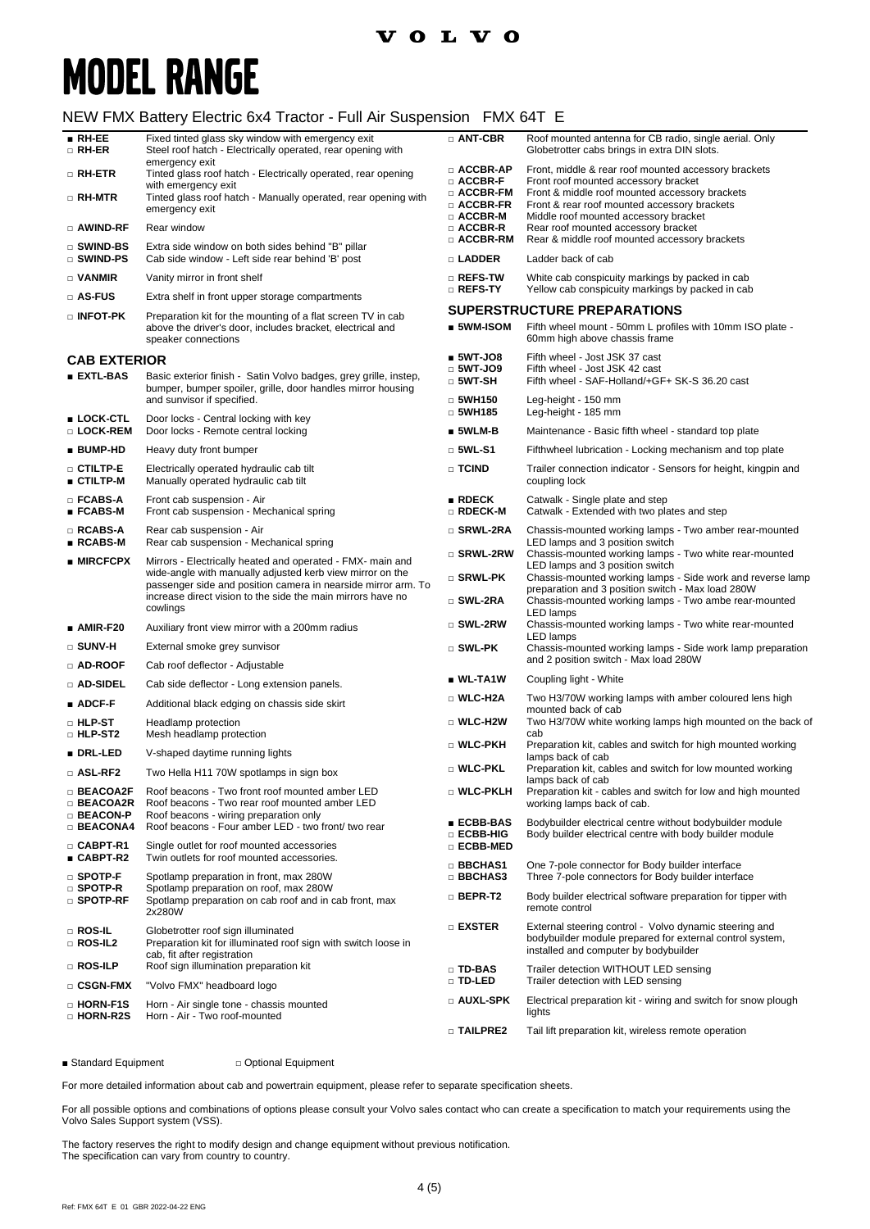### **VOLVO**

## **MODEL RANGE**

### NEW FMX Battery Electric 6x4 Tractor - Full Air Suspension FMX 64T E

| $\blacksquare$ RH-EE<br>□ RH-ER                                      | Fixed tinted glass sky window with emergency exit<br>Steel roof hatch - Electrically operated, rear opening with<br>emergency exit                                                                                                                                  | □ ANT-CBR                                               | Roof mounted antenna for CB radio, single aerial. Only<br>Globetrotter cabs brings in extra DIN slots.                                                                                                                          |
|----------------------------------------------------------------------|---------------------------------------------------------------------------------------------------------------------------------------------------------------------------------------------------------------------------------------------------------------------|---------------------------------------------------------|---------------------------------------------------------------------------------------------------------------------------------------------------------------------------------------------------------------------------------|
| $\square$ RH-ETR                                                     | Tinted glass roof hatch - Electrically operated, rear opening                                                                                                                                                                                                       | $\square$ ACCBR-AP<br>$\Box$ ACCBR-F                    | Front, middle & rear roof mounted accessory brackets<br>Front roof mounted accessory bracket                                                                                                                                    |
| □ RH-MTR                                                             | with emergency exit<br>Tinted glass roof hatch - Manually operated, rear opening with<br>emergency exit                                                                                                                                                             | $\Box$ ACCBR-FM<br>$\square$ ACCBR-FR<br>$\Box$ ACCBR-M | Front & middle roof mounted accessory brackets<br>Front & rear roof mounted accessory brackets<br>Middle roof mounted accessory bracket                                                                                         |
| □ AWIND-RF                                                           | Rear window                                                                                                                                                                                                                                                         | $\square$ ACCBR-R                                       | Rear roof mounted accessory bracket                                                                                                                                                                                             |
| □ SWIND-BS<br>□ SWIND-PS                                             | Extra side window on both sides behind "B" pillar<br>Cab side window - Left side rear behind 'B' post                                                                                                                                                               | $\Box$ ACCBR-RM<br>□ LADDER                             | Rear & middle roof mounted accessory brackets<br>Ladder back of cab                                                                                                                                                             |
| $\Box$ VANMIR                                                        | Vanity mirror in front shelf                                                                                                                                                                                                                                        | $\square$ Refs-tw                                       | White cab conspicuity markings by packed in cab                                                                                                                                                                                 |
| □ AS-FUS                                                             | Extra shelf in front upper storage compartments                                                                                                                                                                                                                     | $\square$ Refs-ty                                       | Yellow cab conspicuity markings by packed in cab                                                                                                                                                                                |
| □ INFOT-PK                                                           | Preparation kit for the mounting of a flat screen TV in cab<br>above the driver's door, includes bracket, electrical and<br>speaker connections                                                                                                                     | $\blacksquare$ 5WM-ISOM                                 | <b>SUPERSTRUCTURE PREPARATIONS</b><br>Fifth wheel mount - 50mm L profiles with 10mm ISO plate -<br>60mm high above chassis frame                                                                                                |
| <b>CAB EXTERIOR</b>                                                  |                                                                                                                                                                                                                                                                     | $5WT-JOS$                                               | Fifth wheel - Jost JSK 37 cast                                                                                                                                                                                                  |
| ∎ EXTL-BAS                                                           | Basic exterior finish - Satin Volvo badges, grey grille, instep,<br>bumper, bumper spoiler, grille, door handles mirror housing                                                                                                                                     |                                                         | Fifth wheel - Jost JSK 42 cast<br>Fifth wheel - SAF-Holland/+GF+ SK-S 36.20 cast                                                                                                                                                |
| ∎ LOCK-CTL                                                           | and sunvisor if specified.<br>Door locks - Central locking with key                                                                                                                                                                                                 | $\Box$ 5WH150<br>$\Box$ 5WH185                          | Leg-height - 150 mm<br>Leg-height - 185 mm                                                                                                                                                                                      |
| □ LOCK-REM                                                           | Door locks - Remote central locking                                                                                                                                                                                                                                 | $\blacksquare$ 5WLM-B                                   | Maintenance - Basic fifth wheel - standard top plate                                                                                                                                                                            |
| ∎ BUMP-HD                                                            | Heavy duty front bumper                                                                                                                                                                                                                                             | $\Box$ 5WL-S1                                           | Fifthwheel lubrication - Locking mechanism and top plate                                                                                                                                                                        |
| $\square$ ctiltp-e<br>∎ CTILTP-M                                     | Electrically operated hydraulic cab tilt<br>Manually operated hydraulic cab tilt                                                                                                                                                                                    | □ TCIND                                                 | Trailer connection indicator - Sensors for height, kingpin and<br>coupling lock                                                                                                                                                 |
| $\square$ FCABS-A<br>∎ FCABS-M                                       | Front cab suspension - Air<br>Front cab suspension - Mechanical spring                                                                                                                                                                                              | $\blacksquare$ RDECK<br>□ RDECK-M                       | Catwalk - Single plate and step<br>Catwalk - Extended with two plates and step                                                                                                                                                  |
| □ RCABS-A<br>∎ RCABS-M                                               | Rear cab suspension - Air<br>Rear cab suspension - Mechanical spring                                                                                                                                                                                                | □ SRWL-2RA<br>□ SRWL-2RW                                | Chassis-mounted working lamps - Two amber rear-mounted<br>LED lamps and 3 position switch<br>Chassis-mounted working lamps - Two white rear-mounted                                                                             |
| $\blacksquare$ MIRCFCPX                                              | Mirrors - Electrically heated and operated - FMX- main and<br>wide-angle with manually adjusted kerb view mirror on the<br>passenger side and position camera in nearside mirror arm. To<br>increase direct vision to the side the main mirrors have no<br>cowlings | □ SRWL-PK<br>□ SWL-2RA                                  | LED lamps and 3 position switch<br>Chassis-mounted working lamps - Side work and reverse lamp<br>preparation and 3 position switch - Max load 280W<br>Chassis-mounted working lamps - Two ambe rear-mounted<br><b>LED</b> lamps |
| $\blacksquare$ AMIR-F20                                              | Auxiliary front view mirror with a 200mm radius                                                                                                                                                                                                                     | □ SWL-2RW                                               | Chassis-mounted working lamps - Two white rear-mounted                                                                                                                                                                          |
| □ SUNV-H                                                             | External smoke grey sunvisor                                                                                                                                                                                                                                        | $\square$ SWL-PK                                        | <b>LED</b> lamps<br>Chassis-mounted working lamps - Side work lamp preparation                                                                                                                                                  |
| □ AD-ROOF                                                            | Cab roof deflector - Adjustable                                                                                                                                                                                                                                     |                                                         | and 2 position switch - Max load 280W                                                                                                                                                                                           |
| □ AD-SIDEL                                                           | Cab side deflector - Long extension panels.                                                                                                                                                                                                                         | $\blacksquare$ WL-TA1W                                  | Coupling light - White                                                                                                                                                                                                          |
| ∎ ADCF-F                                                             | Additional black edging on chassis side skirt                                                                                                                                                                                                                       | □ WLC-H2A                                               | Two H3/70W working lamps with amber coloured lens high<br>mounted back of cab                                                                                                                                                   |
| $\square$ hlp-st<br>□ HLP-ST2                                        | Headlamp protection<br>Mesh headlamp protection                                                                                                                                                                                                                     | $\square$ WLC-H2W                                       | Two H3/70W white working lamps high mounted on the back of<br>cab                                                                                                                                                               |
| ∎ DRL-LED                                                            | V-shaped daytime running lights                                                                                                                                                                                                                                     | □ WLC-PKH                                               | Preparation kit, cables and switch for high mounted working<br>lamps back of cab                                                                                                                                                |
| □ ASL-RF2                                                            | Two Hella H11 70W spotlamps in sign box                                                                                                                                                                                                                             | □ WLC-PKL                                               | Preparation kit, cables and switch for low mounted working<br>lamps back of cab                                                                                                                                                 |
| $\square$ BEACOA2F<br>$\scriptstyle\Box$ BEACOA2R<br>$\Box$ BEACON-P | Roof beacons - Two front roof mounted amber LED<br>Roof beacons - Two rear roof mounted amber LED<br>Roof beacons - wiring preparation only                                                                                                                         | □ WLC-PKLH                                              | Preparation kit - cables and switch for low and high mounted<br>working lamps back of cab.                                                                                                                                      |
| $\Box$ BEACONA4                                                      | Roof beacons - Four amber LED - two front/ two rear                                                                                                                                                                                                                 | ∎ ECBB-BAS<br>∩ ECBB-HIG                                | Bodybuilder electrical centre without bodybuilder module<br>Body builder electrical centre with body builder module                                                                                                             |
| $\square$ CABPT-R1                                                   | Single outlet for roof mounted accessories                                                                                                                                                                                                                          | □ ECBB-MED                                              |                                                                                                                                                                                                                                 |
| ∎ CABPT-R2<br>$\square$ SPOTP-F                                      | Twin outlets for roof mounted accessories.<br>Spotlamp preparation in front, max 280W                                                                                                                                                                               | □ BBCHAS1<br>□ BBCHAS3                                  | One 7-pole connector for Body builder interface<br>Three 7-pole connectors for Body builder interface                                                                                                                           |
| $\scriptstyle\Box$ Spotp-R<br>$\scriptstyle\Box$ spotp-rf            | Spotlamp preparation on roof, max 280W<br>Spotlamp preparation on cab roof and in cab front, max<br>2x280W                                                                                                                                                          | $\square$ bepr-t2                                       | Body builder electrical software preparation for tipper with<br>remote control                                                                                                                                                  |
| $\square$ ROS-IL<br>□ ROS-IL2                                        | Globetrotter roof sign illuminated<br>Preparation kit for illuminated roof sign with switch loose in<br>cab, fit after registration                                                                                                                                 | $\square$ exster                                        | External steering control - Volvo dynamic steering and<br>bodybuilder module prepared for external control system,<br>installed and computer by bodybuilder                                                                     |
| □ ROS-ILP                                                            | Roof sign illumination preparation kit                                                                                                                                                                                                                              | □ TD-BAS<br>□ TD-LED                                    | Trailer detection WITHOUT LED sensing<br>Trailer detection with LED sensing                                                                                                                                                     |
| $\Box$ CSGN-FMX                                                      | "Volvo FMX" headboard logo                                                                                                                                                                                                                                          | □ AUXL-SPK                                              | Electrical preparation kit - wiring and switch for snow plough                                                                                                                                                                  |
| □ HORN-F1S<br>□ HORN-R2S                                             | Horn - Air single tone - chassis mounted<br>Horn - Air - Two roof-mounted                                                                                                                                                                                           |                                                         | lights                                                                                                                                                                                                                          |
|                                                                      |                                                                                                                                                                                                                                                                     | □ TAILPRE2                                              | Tail lift preparation kit, wireless remote operation                                                                                                                                                                            |

■ Standard Equipment □ Optional Equipment

For more detailed information about cab and powertrain equipment, please refer to separate specification sheets.

For all possible options and combinations of options please consult your Volvo sales contact who can create a specification to match your requirements using the Volvo Sales Support system (VSS).

The factory reserves the right to modify design and change equipment without previous notification. The specification can vary from country to country.